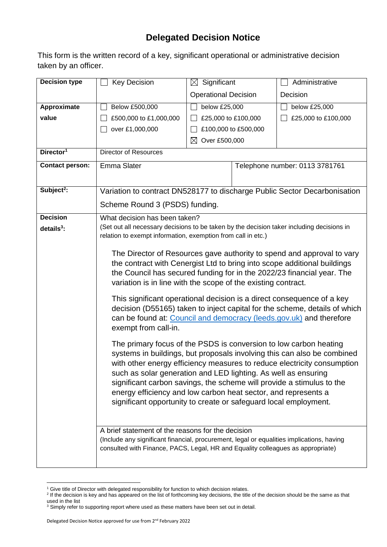## **Delegated Decision Notice**

This form is the written record of a key, significant operational or administrative decision taken by an officer.

| <b>Decision type</b>   | <b>Key Decision</b>                                                                                                                                       | $\boxtimes$ Significant                                                   |                                | Administrative                                                           |  |  |
|------------------------|-----------------------------------------------------------------------------------------------------------------------------------------------------------|---------------------------------------------------------------------------|--------------------------------|--------------------------------------------------------------------------|--|--|
|                        |                                                                                                                                                           | <b>Operational Decision</b>                                               |                                | Decision                                                                 |  |  |
| Approximate            | Below £500,000                                                                                                                                            | below £25,000                                                             |                                | below £25,000                                                            |  |  |
| value                  | £500,000 to £1,000,000                                                                                                                                    |                                                                           | £25,000 to £100,000            | £25,000 to £100,000                                                      |  |  |
|                        | over £1,000,000                                                                                                                                           |                                                                           | £100,000 to £500,000           |                                                                          |  |  |
|                        |                                                                                                                                                           | Over £500,000<br>$\boxtimes$                                              |                                |                                                                          |  |  |
| Director <sup>1</sup>  | <b>Director of Resources</b>                                                                                                                              |                                                                           |                                |                                                                          |  |  |
| <b>Contact person:</b> | <b>Emma Slater</b>                                                                                                                                        |                                                                           | Telephone number: 0113 3781761 |                                                                          |  |  |
|                        |                                                                                                                                                           |                                                                           |                                |                                                                          |  |  |
| Subject <sup>2</sup> : |                                                                                                                                                           | Variation to contract DN528177 to discharge Public Sector Decarbonisation |                                |                                                                          |  |  |
|                        | Scheme Round 3 (PSDS) funding.                                                                                                                            |                                                                           |                                |                                                                          |  |  |
| <b>Decision</b>        | What decision has been taken?                                                                                                                             |                                                                           |                                |                                                                          |  |  |
| $details3$ :           | (Set out all necessary decisions to be taken by the decision taker including decisions in<br>relation to exempt information, exemption from call in etc.) |                                                                           |                                |                                                                          |  |  |
|                        |                                                                                                                                                           |                                                                           |                                |                                                                          |  |  |
|                        |                                                                                                                                                           |                                                                           |                                | The Director of Resources gave authority to spend and approval to vary   |  |  |
|                        |                                                                                                                                                           |                                                                           |                                | the contract with Cenergist Ltd to bring into scope additional buildings |  |  |
|                        | the Council has secured funding for in the 2022/23 financial year. The                                                                                    |                                                                           |                                |                                                                          |  |  |
|                        | variation is in line with the scope of the existing contract.                                                                                             |                                                                           |                                |                                                                          |  |  |
|                        | This significant operational decision is a direct consequence of a key                                                                                    |                                                                           |                                |                                                                          |  |  |
|                        | decision (D55165) taken to inject capital for the scheme, details of which                                                                                |                                                                           |                                |                                                                          |  |  |
|                        | can be found at: Council and democracy (leeds.gov.uk) and therefore<br>exempt from call-in.                                                               |                                                                           |                                |                                                                          |  |  |
|                        | The primary focus of the PSDS is conversion to low carbon heating                                                                                         |                                                                           |                                |                                                                          |  |  |
|                        |                                                                                                                                                           | systems in buildings, but proposals involving this can also be combined   |                                |                                                                          |  |  |
|                        | with other energy efficiency measures to reduce electricity consumption                                                                                   |                                                                           |                                |                                                                          |  |  |
|                        | such as solar generation and LED lighting. As well as ensuring                                                                                            |                                                                           |                                |                                                                          |  |  |
|                        | significant carbon savings, the scheme will provide a stimulus to the<br>energy efficiency and low carbon heat sector, and represents a                   |                                                                           |                                |                                                                          |  |  |
|                        | significant opportunity to create or safeguard local employment.                                                                                          |                                                                           |                                |                                                                          |  |  |
|                        |                                                                                                                                                           |                                                                           |                                |                                                                          |  |  |
|                        | A brief statement of the reasons for the decision                                                                                                         |                                                                           |                                |                                                                          |  |  |
|                        | (Include any significant financial, procurement, legal or equalities implications, having                                                                 |                                                                           |                                |                                                                          |  |  |
|                        | consulted with Finance, PACS, Legal, HR and Equality colleagues as appropriate)                                                                           |                                                                           |                                |                                                                          |  |  |
|                        |                                                                                                                                                           |                                                                           |                                |                                                                          |  |  |

<sup>1</sup> 

<sup>&</sup>lt;sup>1</sup> Give title of Director with delegated responsibility for function to which decision relates.<br><sup>2</sup> If the decision is key and has appeared on the list of forthcoming key decisions, the title of the decision should be the used in the list

 $3$  Simply refer to supporting report where used as these matters have been set out in detail.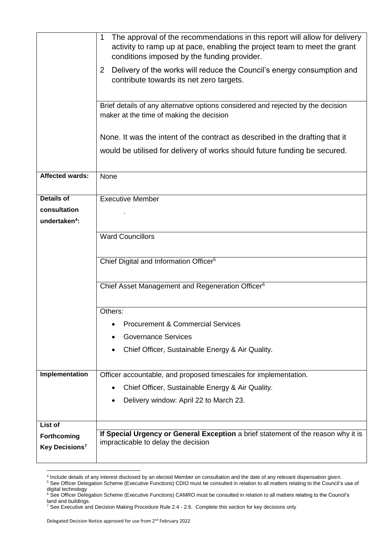| maker at the time of making the decision<br>None. It was the intent of the contract as described in the drafting that it<br>would be utilised for delivery of works should future funding be secured.<br><b>Affected wards:</b><br>None<br><b>Details of</b><br><b>Executive Member</b><br>consultation<br>undertaken <sup>4</sup> :<br><b>Ward Councillors</b><br>Chief Digital and Information Officer <sup>5</sup><br>Chief Asset Management and Regeneration Officer <sup>6</sup><br>Others:<br><b>Procurement &amp; Commercial Services</b><br><b>Governance Services</b><br>Chief Officer, Sustainable Energy & Air Quality.<br>Implementation<br>Officer accountable, and proposed timescales for implementation.<br>Chief Officer, Sustainable Energy & Air Quality.<br>Delivery window: April 22 to March 23.<br>List of<br>If Special Urgency or General Exception a brief statement of the reason why it is<br>Forthcoming<br>impracticable to delay the decision<br>Key Decisions <sup>7</sup> | The approval of the recommendations in this report will allow for delivery<br>1<br>activity to ramp up at pace, enabling the project team to meet the grant<br>conditions imposed by the funding provider.<br>2 Delivery of the works will reduce the Council's energy consumption and<br>contribute towards its net zero targets.<br>Brief details of any alternative options considered and rejected by the decision |  |  |  |  |  |
|------------------------------------------------------------------------------------------------------------------------------------------------------------------------------------------------------------------------------------------------------------------------------------------------------------------------------------------------------------------------------------------------------------------------------------------------------------------------------------------------------------------------------------------------------------------------------------------------------------------------------------------------------------------------------------------------------------------------------------------------------------------------------------------------------------------------------------------------------------------------------------------------------------------------------------------------------------------------------------------------------------|------------------------------------------------------------------------------------------------------------------------------------------------------------------------------------------------------------------------------------------------------------------------------------------------------------------------------------------------------------------------------------------------------------------------|--|--|--|--|--|
|                                                                                                                                                                                                                                                                                                                                                                                                                                                                                                                                                                                                                                                                                                                                                                                                                                                                                                                                                                                                            |                                                                                                                                                                                                                                                                                                                                                                                                                        |  |  |  |  |  |
|                                                                                                                                                                                                                                                                                                                                                                                                                                                                                                                                                                                                                                                                                                                                                                                                                                                                                                                                                                                                            |                                                                                                                                                                                                                                                                                                                                                                                                                        |  |  |  |  |  |
|                                                                                                                                                                                                                                                                                                                                                                                                                                                                                                                                                                                                                                                                                                                                                                                                                                                                                                                                                                                                            |                                                                                                                                                                                                                                                                                                                                                                                                                        |  |  |  |  |  |
|                                                                                                                                                                                                                                                                                                                                                                                                                                                                                                                                                                                                                                                                                                                                                                                                                                                                                                                                                                                                            |                                                                                                                                                                                                                                                                                                                                                                                                                        |  |  |  |  |  |
|                                                                                                                                                                                                                                                                                                                                                                                                                                                                                                                                                                                                                                                                                                                                                                                                                                                                                                                                                                                                            |                                                                                                                                                                                                                                                                                                                                                                                                                        |  |  |  |  |  |
|                                                                                                                                                                                                                                                                                                                                                                                                                                                                                                                                                                                                                                                                                                                                                                                                                                                                                                                                                                                                            |                                                                                                                                                                                                                                                                                                                                                                                                                        |  |  |  |  |  |
|                                                                                                                                                                                                                                                                                                                                                                                                                                                                                                                                                                                                                                                                                                                                                                                                                                                                                                                                                                                                            |                                                                                                                                                                                                                                                                                                                                                                                                                        |  |  |  |  |  |
|                                                                                                                                                                                                                                                                                                                                                                                                                                                                                                                                                                                                                                                                                                                                                                                                                                                                                                                                                                                                            |                                                                                                                                                                                                                                                                                                                                                                                                                        |  |  |  |  |  |
|                                                                                                                                                                                                                                                                                                                                                                                                                                                                                                                                                                                                                                                                                                                                                                                                                                                                                                                                                                                                            |                                                                                                                                                                                                                                                                                                                                                                                                                        |  |  |  |  |  |
|                                                                                                                                                                                                                                                                                                                                                                                                                                                                                                                                                                                                                                                                                                                                                                                                                                                                                                                                                                                                            |                                                                                                                                                                                                                                                                                                                                                                                                                        |  |  |  |  |  |
|                                                                                                                                                                                                                                                                                                                                                                                                                                                                                                                                                                                                                                                                                                                                                                                                                                                                                                                                                                                                            |                                                                                                                                                                                                                                                                                                                                                                                                                        |  |  |  |  |  |
|                                                                                                                                                                                                                                                                                                                                                                                                                                                                                                                                                                                                                                                                                                                                                                                                                                                                                                                                                                                                            |                                                                                                                                                                                                                                                                                                                                                                                                                        |  |  |  |  |  |
|                                                                                                                                                                                                                                                                                                                                                                                                                                                                                                                                                                                                                                                                                                                                                                                                                                                                                                                                                                                                            |                                                                                                                                                                                                                                                                                                                                                                                                                        |  |  |  |  |  |
|                                                                                                                                                                                                                                                                                                                                                                                                                                                                                                                                                                                                                                                                                                                                                                                                                                                                                                                                                                                                            |                                                                                                                                                                                                                                                                                                                                                                                                                        |  |  |  |  |  |
|                                                                                                                                                                                                                                                                                                                                                                                                                                                                                                                                                                                                                                                                                                                                                                                                                                                                                                                                                                                                            |                                                                                                                                                                                                                                                                                                                                                                                                                        |  |  |  |  |  |
|                                                                                                                                                                                                                                                                                                                                                                                                                                                                                                                                                                                                                                                                                                                                                                                                                                                                                                                                                                                                            |                                                                                                                                                                                                                                                                                                                                                                                                                        |  |  |  |  |  |
|                                                                                                                                                                                                                                                                                                                                                                                                                                                                                                                                                                                                                                                                                                                                                                                                                                                                                                                                                                                                            |                                                                                                                                                                                                                                                                                                                                                                                                                        |  |  |  |  |  |
|                                                                                                                                                                                                                                                                                                                                                                                                                                                                                                                                                                                                                                                                                                                                                                                                                                                                                                                                                                                                            |                                                                                                                                                                                                                                                                                                                                                                                                                        |  |  |  |  |  |
|                                                                                                                                                                                                                                                                                                                                                                                                                                                                                                                                                                                                                                                                                                                                                                                                                                                                                                                                                                                                            |                                                                                                                                                                                                                                                                                                                                                                                                                        |  |  |  |  |  |

 4 Include details of any interest disclosed by an elected Member on consultation and the date of any relevant dispensation given.

<sup>&</sup>lt;sup>5</sup> See Officer Delegation Scheme (Executive Functions) CDIO must be consulted in relation to all matters relating to the Council's use of digital technology

<sup>&</sup>lt;sup>6</sup> See Officer Delegation Scheme (Executive Functions) CAMRO must be consulted in relation to all matters relating to the Council's land and buildings.

 $^7$  See Executive and Decision Making Procedure Rule 2.4 - 2.6. Complete this section for key decisions only